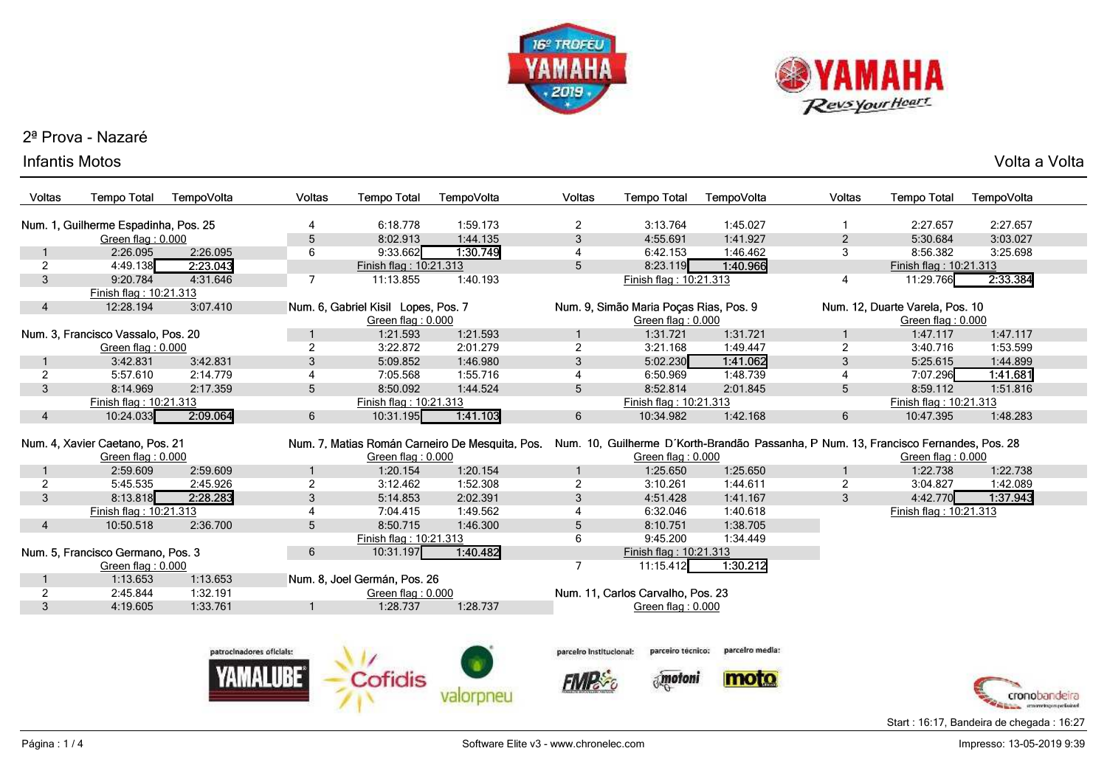



## 2ª Prova - Nazaré

## Infantis Motos

|          |            |        |             |            |        |                    |            |        |             | Volta a<br>Volta |  |
|----------|------------|--------|-------------|------------|--------|--------------------|------------|--------|-------------|------------------|--|
| po Total | TempoVolta | Voltas | Tempo Total | TempoVolta | ∨oltas | <b>Tempo Total</b> | TempoVolta | Voltas | Tempo Total | TempoVolta       |  |
|          |            |        |             |            |        |                    |            |        |             |                  |  |

| Voltas         | <b>Tempo Total</b>                   | TempoVolta | Voltas                   | <b>Tempo Total</b>                  | TempoVolta                                      | Voltas                  | <b>Tempo Total</b>                     | TempoVolta                                                                           | Voltas         | <b>Tempo Total</b>              | TempoVolta    |  |  |
|----------------|--------------------------------------|------------|--------------------------|-------------------------------------|-------------------------------------------------|-------------------------|----------------------------------------|--------------------------------------------------------------------------------------|----------------|---------------------------------|---------------|--|--|
|                | Num. 1, Guilherme Espadinha, Pos. 25 |            |                          | 6:18.778                            | 1:59.173                                        | $\overline{2}$          | 3:13.764                               | 1:45.027                                                                             |                | 2:27.657                        | 2:27.657      |  |  |
|                | Green flag: 0.000                    |            | 5                        | 8:02.913                            | 1:44.135                                        | $\mathfrak{S}$          | 4:55.691                               | 1:41.927                                                                             | $\overline{c}$ | 5:30.684                        | 3:03.027      |  |  |
|                | 2:26.095                             | 2:26.095   | 6                        | 9:33.662                            | 1:30.749                                        | 4                       | 6:42.153                               | 1:46.462                                                                             | 3              | 8:56.382                        | 3:25.698      |  |  |
| $\overline{2}$ | 4:49.138                             | 2:23.043   |                          | Finish flag: 10:21.313              |                                                 | 5                       | 8:23.119                               | 1:40.966                                                                             |                | Finish flag: 10:21.313          |               |  |  |
| 3              | 9:20.784                             | 4:31.646   | 7                        | 11:13.855                           | 1:40.193                                        |                         | Finish flag: 10:21.313                 |                                                                                      | 4              | 11:29.766                       | 2:33.384      |  |  |
|                | Finish flag: 10:21.313               |            |                          |                                     |                                                 |                         |                                        |                                                                                      |                |                                 |               |  |  |
| 4              | 12:28.194                            | 3:07.410   |                          | Num. 6, Gabriel Kisil Lopes, Pos. 7 |                                                 |                         | Num. 9, Simão Maria Poças Rias, Pos. 9 |                                                                                      |                | Num. 12, Duarte Varela, Pos. 10 |               |  |  |
|                |                                      |            |                          | Green flag: 0.000                   |                                                 |                         | Green flag: 0.000                      |                                                                                      |                | Green flag: 0.000               |               |  |  |
|                | Num. 3, Francisco Vassalo, Pos. 20   |            |                          | 1:21.593                            | 1:21.593                                        |                         | 1:31.721                               | 1:31.721                                                                             |                | 1:47.117                        | 1:47.117      |  |  |
|                | Green flag: 0.000                    |            | $\overline{2}$           | 3:22.872                            | 2:01.279                                        | $\overline{2}$          | 3:21.168                               | 1:49.447                                                                             | 2              | 3:40.716                        | 1:53.599      |  |  |
|                | 3:42.831                             | 3:42.831   | 3                        | 5:09.852                            | 1:46.980                                        | 3                       | 5:02.230                               | 1:41.062                                                                             | 3              | 5:25.615                        | 1:44.899      |  |  |
| $\overline{2}$ | 5:57.610                             | 2:14.779   |                          | 7:05.568                            | 1:55.716                                        | $\overline{4}$          | 6:50.969                               | 1:48.739                                                                             | $\overline{4}$ | 7:07.296                        | 1:41.681      |  |  |
| 3              | 8:14.969                             | 2:17.359   | 5                        | 8:50.092                            | 1:44.524                                        | 5                       | 8:52.814                               | 2:01.845                                                                             | 5              | 8:59.112                        | 1:51.816      |  |  |
|                | Finish flag: 10:21.313               |            |                          | Finish flag: 10:21.313              |                                                 |                         | Finish flag: 10:21.313                 |                                                                                      |                | Finish flag: 10:21.313          |               |  |  |
| 4              | 10:24.033                            | 2:09.064   | 6                        | 10:31.195                           | 1:41.103                                        | 6                       | 10:34.982                              | 1:42.168                                                                             | 6              | 10:47.395                       | 1:48.283      |  |  |
|                | Num. 4, Xavier Caetano, Pos. 21      |            |                          |                                     | Num. 7, Matias Román Carneiro De Mesquita, Pos. |                         |                                        | Num. 10, Guilherme D'Korth-Brandão Passanha, P Num. 13, Francisco Fernandes, Pos. 28 |                |                                 |               |  |  |
|                | Green flag: 0.000                    |            |                          | Green flag: 0.000                   |                                                 |                         | Green flag: 0.000                      |                                                                                      |                | Green flag: 0.000               |               |  |  |
|                | 2:59.609                             | 2:59.609   |                          | 1:20.154                            | 1:20.154                                        |                         | 1:25.650                               | 1:25.650                                                                             |                | 1:22.738                        | 1:22.738      |  |  |
| $\overline{2}$ | 5:45.535                             | 2:45.926   | $\overline{2}$           | 3:12.462                            | 1:52.308                                        | $\overline{2}$          | 3:10.261                               | 1:44.611                                                                             | $\overline{2}$ | 3:04.827                        | 1:42.089      |  |  |
| 3              | 8:13.818                             | 2:28.283   | 3                        | 5:14.853                            | 2:02.391                                        | 3                       | 4:51.428                               | 1:41.167                                                                             | 3              | 4:42.770                        | 1:37.943      |  |  |
|                | Finish flag: 10:21.313               |            | 4                        | 7:04.415                            | 1:49.562                                        | 4                       | 6:32.046                               | 1:40.618                                                                             |                | Finish flag: 10:21.313          |               |  |  |
| 4              | 10:50.518                            | 2:36.700   | 5 <sup>5</sup>           | 8:50.715                            | 1:46.300                                        | 5                       | 8:10.751                               | 1:38.705                                                                             |                |                                 |               |  |  |
|                |                                      |            |                          | Finish flag: 10:21.313              |                                                 | 6                       | 9:45.200                               | 1:34.449                                                                             |                |                                 |               |  |  |
|                | Num. 5, Francisco Germano, Pos. 3    |            | $6\overline{6}$          | 10:31.197                           | 1:40.482                                        |                         | Finish flag: 10:21.313                 |                                                                                      |                |                                 |               |  |  |
|                | Green flag: 0.000                    |            |                          |                                     |                                                 | 7                       | 11:15.412                              | 1:30.212                                                                             |                |                                 |               |  |  |
|                | 1:13.653                             | 1:13.653   |                          | Num. 8, Joel Germán, Pos. 26        |                                                 |                         |                                        |                                                                                      |                |                                 |               |  |  |
| $\overline{2}$ | 2:45.844                             | 1:32.191   |                          | Green flag: 0.000                   |                                                 |                         | Num. 11, Carlos Carvalho, Pos. 23      |                                                                                      |                |                                 |               |  |  |
| 3              | 4:19.605                             | 1:33.761   |                          | 1:28.737                            | 1:28.737                                        |                         | Green flag: 0.000                      |                                                                                      |                |                                 |               |  |  |
|                |                                      |            |                          |                                     |                                                 |                         |                                        |                                                                                      |                |                                 |               |  |  |
|                |                                      |            |                          |                                     |                                                 |                         |                                        |                                                                                      |                |                                 |               |  |  |
|                |                                      |            | patrocinadores oficials: |                                     |                                                 | parceiro institucional: | parceiro tecnico:                      | parcelro media:                                                                      |                |                                 |               |  |  |
|                |                                      |            |                          |                                     |                                                 |                         |                                        |                                                                                      |                |                                 |               |  |  |
|                |                                      |            |                          |                                     |                                                 |                         | motoni                                 |                                                                                      |                |                                 |               |  |  |
|                |                                      |            |                          |                                     | valoroneu                                       |                         |                                        |                                                                                      |                |                                 | cronobandeira |  |  |



Start : 16:17, Bandeira de chegada : 16:27

valorpneu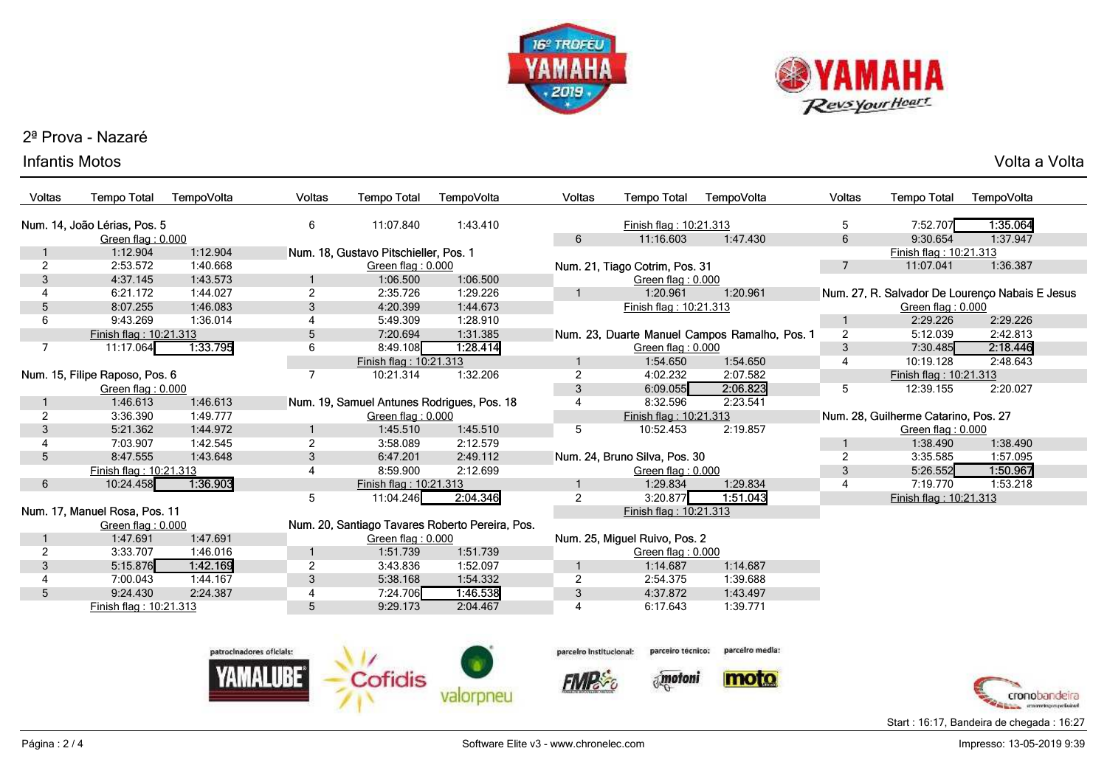



## 2ª Prova - Nazaré

## Infantis Motos

s and the voltage of the voltage of the voltage of the voltage of the voltage of  $\mathsf{Volta}\xspace$  a Voltage of the voltage of  $\mathsf{Volta}\xspace$ 

| Voltas         | <b>Tempo Total</b>             | TempoVolta | Voltas                   | <b>Tempo Total</b>                         | TempoVolta                                      | Voltas                  | <b>Tempo Total</b>             | TempoVolta                                    | <b>Voltas</b>  | <b>Tempo Total</b>                   | TempoVolta                                      |
|----------------|--------------------------------|------------|--------------------------|--------------------------------------------|-------------------------------------------------|-------------------------|--------------------------------|-----------------------------------------------|----------------|--------------------------------------|-------------------------------------------------|
|                | Num. 14, João Lérias, Pos. 5   |            | 6                        | 11:07.840                                  | 1:43.410                                        |                         | Finish flag: 10:21.313         |                                               | 5              | 7:52.707                             | 1:35.064                                        |
|                | Green flag: 0.000              |            |                          |                                            |                                                 | 6                       | 11:16.603                      | 1:47.430                                      | 6              | 9:30.654                             | 1:37.947                                        |
|                | 1:12.904<br>1:12.904           |            |                          | Num. 18, Gustavo Pitschieller, Pos. 1      |                                                 |                         |                                |                                               |                | Finish flag: 10:21.313               |                                                 |
| $\overline{2}$ | 2:53.572                       | 1:40.668   |                          | Green flag: 0.000                          |                                                 |                         | Num. 21, Tiago Cotrim, Pos. 31 |                                               | $\overline{7}$ | 11:07.041                            | 1:36.387                                        |
| 3              | 4:37.145                       | 1:43.573   | $\mathbf{1}$             | 1:06.500                                   | 1:06.500                                        |                         | Green flag: 0.000              |                                               |                |                                      |                                                 |
| 4              | 6:21.172                       | 1:44.027   | $\overline{2}$           | 2:35.726                                   | 1:29.226                                        | $\mathbf{1}$            | 1:20.961                       | 1:20.961                                      |                |                                      | Num. 27, R. Salvador De Lourenço Nabais E Jesus |
| 5              | 8:07.255                       | 1:46.083   | 3                        | 4:20.399                                   | 1:44.673                                        |                         | Finish flag: 10:21.313         |                                               |                | Green flag: 0.000                    |                                                 |
| 6              | 9:43.269                       | 1:36.014   | $\overline{4}$           | 5:49.309                                   | 1:28.910                                        |                         |                                |                                               | 1              | 2:29.226                             | 2:29.226                                        |
|                | Finish flag: 10:21.313         |            | 5                        | 7:20.694                                   | 1:31.385                                        |                         |                                | Num. 23, Duarte Manuel Campos Ramalho, Pos. 1 | $\overline{2}$ | 5:12.039                             | 2:42.813                                        |
| $\overline{7}$ | 11:17.064                      | 1:33.795   | 6                        | 8:49.108                                   | 1.28.414                                        |                         | Green flag: 0.000              |                                               | 3              | 7:30.485                             | 2:18.446                                        |
|                |                                |            |                          | Finish flag: 10:21.313                     |                                                 |                         | 1:54.650                       | 1:54.650                                      | $\overline{4}$ | 10:19.128                            | 2:48.643                                        |
|                | Num. 15, Filipe Raposo, Pos. 6 |            | $\overline{7}$           | 10:21.314                                  | 1:32.206                                        | $\overline{2}$          | 4:02.232                       | 2:07.582                                      |                | Finish flag: 10:21.313               |                                                 |
|                | Green flag: 0.000              |            |                          |                                            |                                                 | $\mathfrak{S}$          | 6:09.055                       | 2:06.823                                      | 5              | 12:39.155                            | 2:20.027                                        |
|                | 1:46.613                       | 1:46.613   |                          | Num. 19, Samuel Antunes Rodrigues, Pos. 18 |                                                 | 4                       | 8:32.596                       | 2:23.541                                      |                |                                      |                                                 |
| $\overline{2}$ | 3:36.390                       | 1:49.777   |                          | Green flag: 0.000                          |                                                 |                         | Finish flag: 10:21.313         |                                               |                | Num. 28, Guilherme Catarino, Pos. 27 |                                                 |
| 3              | 5:21.362                       | 1:44.972   | 1                        | 1:45.510                                   | 1:45.510                                        | 5                       | 10:52.453                      | 2:19.857                                      |                | Green flag: 0.000                    |                                                 |
| 4              | 7:03.907                       | 1:42.545   | $\overline{c}$           | 3:58.089                                   | 2:12.579                                        |                         |                                |                                               |                | 1:38.490                             | 1:38.490                                        |
| 5              | 8:47.555                       | 1:43.648   | $\mathbf{3}$             | 6:47.201                                   | 2:49.112                                        |                         | Num. 24, Bruno Silva, Pos. 30  |                                               | $\overline{2}$ | 3:35.585                             | 1:57.095                                        |
|                | Finish flag: 10:21.313         |            | 4                        | 8:59.900                                   | 2:12.699                                        |                         | Green flag: 0.000              |                                               | 3              | 5:26.552                             | 1:50.967                                        |
| 6              | 10:24.458                      | 1:36.903   |                          | Finish flag: 10:21.313                     |                                                 | 1                       | 1:29.834                       | 1:29.834                                      | 4              | 7:19.770                             | 1:53.218                                        |
|                |                                |            | 5                        | 11:04.246                                  | 2:04.346                                        | $\overline{2}$          | 3:20.877                       | 1:51.043                                      |                | Finish flag: 10:21.313               |                                                 |
|                | Num. 17, Manuel Rosa, Pos. 11  |            |                          |                                            |                                                 |                         | Finish flag: 10:21.313         |                                               |                |                                      |                                                 |
|                | Green flag: 0.000              |            |                          |                                            | Num. 20, Santiago Tavares Roberto Pereira, Pos. |                         |                                |                                               |                |                                      |                                                 |
|                | 1:47.691                       | 1:47.691   |                          | Green flag: 0.000                          |                                                 |                         | Num. 25, Miguel Ruivo, Pos. 2  |                                               |                |                                      |                                                 |
| $\overline{2}$ | 3:33.707                       | 1:46.016   | 1                        | 1:51.739                                   | 1:51.739                                        |                         | Green flag: 0.000              |                                               |                |                                      |                                                 |
| 3              | 5:15.876                       | 1.42.169   | $\overline{2}$           | 3:43.836                                   | 1:52.097                                        |                         | 1:14.687                       | 1:14.687                                      |                |                                      |                                                 |
| $\overline{4}$ | 7:00.043                       | 1:44.167   | $\mathbf{3}$             | 5:38.168                                   | 1:54.332                                        | $\overline{2}$          | 2:54.375                       | 1:39.688                                      |                |                                      |                                                 |
| 5              | 9:24.430                       | 2:24.387   | 4                        | 7:24.706                                   | 1:46.538                                        | 3                       | 4:37.872                       | 1:43.497                                      |                |                                      |                                                 |
|                | Finish flag: 10:21.313         |            | 5                        | 9:29.173                                   | 2:04.467                                        | 4                       | 6:17.643                       | 1:39.771                                      |                |                                      |                                                 |
|                |                                |            |                          |                                            |                                                 |                         |                                |                                               |                |                                      |                                                 |
|                |                                |            |                          |                                            |                                                 |                         |                                |                                               |                |                                      |                                                 |
|                |                                |            | patrocinadores oficials: |                                            |                                                 | parceiro institucional: | parceiro tecnico:              | parcelro media:                               |                |                                      |                                                 |
|                |                                |            |                          | Cofidis                                    |                                                 |                         | motoni                         | moto                                          |                |                                      |                                                 |
|                |                                |            |                          |                                            |                                                 |                         |                                |                                               |                |                                      |                                                 |
|                |                                |            |                          |                                            |                                                 |                         |                                |                                               |                |                                      | crossove transport per finalment                |

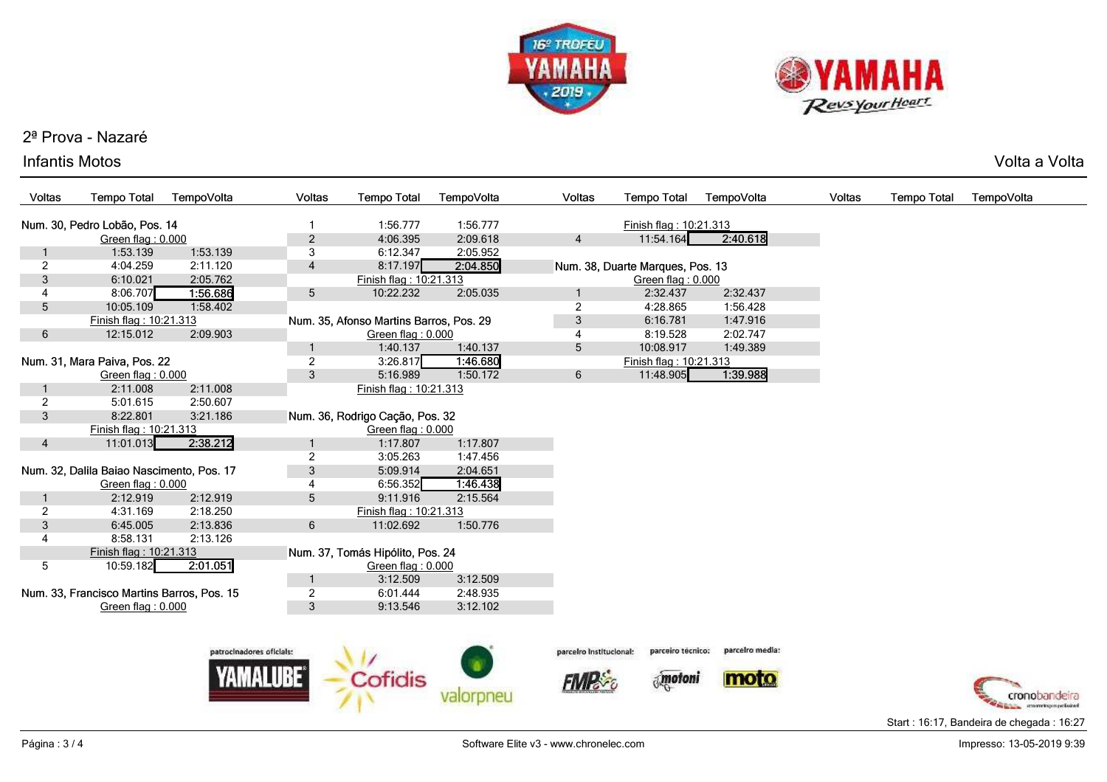



# 2ª Prova - Nazaré

## Infantis Motos

s and the voltage of the voltage of the voltage of the voltage of the voltage of  $\mathsf{Volta}\xspace$  a Voltage of the voltage of  $\mathsf{Volta}\xspace$ 

| Voltas         | <b>Tempo Total</b>                         | TempoVolta | <b>Voltas</b>            | <b>Tempo Total</b>                      | TempoVolta | Voltas                  | <b>Tempo Total</b>               | TempoVolta      | Voltas | <b>Tempo Total</b> | TempoVolta    |
|----------------|--------------------------------------------|------------|--------------------------|-----------------------------------------|------------|-------------------------|----------------------------------|-----------------|--------|--------------------|---------------|
|                | Num. 30, Pedro Lobão, Pos. 14              |            |                          | 1:56.777                                | 1:56.777   |                         | Finish flag: 10:21.313           |                 |        |                    |               |
|                | Green flag: 0.000                          |            | $\overline{c}$           | 4:06.395                                | 2:09.618   | $\overline{4}$          | 11:54.164                        | 2:40.618        |        |                    |               |
| 1              | 1:53.139                                   | 1:53.139   | 3                        | 6:12.347                                | 2:05.952   |                         |                                  |                 |        |                    |               |
| $\overline{2}$ | 4:04.259                                   | 2:11.120   | $\overline{4}$           | 8:17.197                                | 2:04.850   |                         | Num. 38, Duarte Marques, Pos. 13 |                 |        |                    |               |
| $\overline{3}$ | 6:10.021                                   | 2:05.762   |                          | Finish flag: 10:21.313                  |            |                         | Green flag: 0.000                |                 |        |                    |               |
| 4              | 8:06.707                                   | 1:56.686   | 5                        | 10:22.232                               | 2:05.035   |                         | 2:32.437                         | 2:32.437        |        |                    |               |
| 5              | 10:05.109                                  | 1:58.402   |                          |                                         |            | $\overline{2}$          | 4:28.865                         | 1:56.428        |        |                    |               |
|                | Finish flag: 10:21.313                     |            |                          | Num. 35, Afonso Martins Barros, Pos. 29 |            | $\mathfrak{S}$          | 6:16.781                         | 1:47.916        |        |                    |               |
| 6              | 12:15.012                                  | 2:09.903   |                          | Green flag: 0.000                       |            | 4                       | 8:19.528                         | 2:02.747        |        |                    |               |
|                |                                            |            | $\mathbf{1}$             | 1:40.137                                | 1:40.137   | 5                       | 10:08.917                        | 1:49.389        |        |                    |               |
|                | Num. 31, Mara Paiva, Pos. 22               |            | $\overline{2}$           | 3:26.817                                | 1:46.680   |                         | Finish flag: 10:21.313           |                 |        |                    |               |
|                | Green flag: 0.000                          |            | 3                        | 5:16.989                                | 1:50.172   | 6                       | 11:48.905                        | 1:39.988        |        |                    |               |
|                | 2:11.008                                   | 2:11.008   |                          | Finish flag: 10:21.313                  |            |                         |                                  |                 |        |                    |               |
| $\overline{2}$ | 5:01.615                                   | 2:50.607   |                          |                                         |            |                         |                                  |                 |        |                    |               |
| 3              | 8:22.801                                   | 3:21.186   |                          | Num. 36, Rodrigo Cação, Pos. 32         |            |                         |                                  |                 |        |                    |               |
|                | Finish flag: 10:21.313                     |            |                          | Green flag: 0.000                       |            |                         |                                  |                 |        |                    |               |
| $\overline{4}$ | 11:01.013                                  | 2.38.212   | 1                        | 1:17.807                                | 1:17.807   |                         |                                  |                 |        |                    |               |
|                |                                            |            | $\overline{2}$           | 3:05.263                                | 1:47.456   |                         |                                  |                 |        |                    |               |
|                | Num. 32, Dalila Baiao Nascimento, Pos. 17  |            | $\mathbf{3}$             | 5:09.914                                | 2:04.651   |                         |                                  |                 |        |                    |               |
|                | Green flag: 0.000                          |            | 4                        | 6:56.352                                | 1.46.438   |                         |                                  |                 |        |                    |               |
|                | 2:12.919                                   | 2:12.919   | 5                        | 9:11.916                                | 2:15.564   |                         |                                  |                 |        |                    |               |
| $\overline{2}$ | 4:31.169                                   | 2:18.250   |                          | Finish flag: 10:21.313                  |            |                         |                                  |                 |        |                    |               |
| 3              | 6:45.005                                   | 2:13.836   | $6\phantom{.}$           | 11:02.692                               | 1:50.776   |                         |                                  |                 |        |                    |               |
| 4              | 8:58.131                                   | 2:13.126   |                          |                                         |            |                         |                                  |                 |        |                    |               |
|                | Finish flag: 10:21.313                     |            |                          | Num. 37, Tomás Hipólito, Pos. 24        |            |                         |                                  |                 |        |                    |               |
| 5              | 10:59.182                                  | 2:01.051   |                          | Green flag: 0.000                       |            |                         |                                  |                 |        |                    |               |
|                |                                            |            | -1                       | 3:12.509                                | 3:12.509   |                         |                                  |                 |        |                    |               |
|                | Num. 33, Francisco Martins Barros, Pos. 15 |            | $\overline{2}$           | 6:01.444                                | 2:48.935   |                         |                                  |                 |        |                    |               |
|                | Green flag: 0.000                          |            | $\mathbf{3}$             | 9:13.546                                | 3:12.102   |                         |                                  |                 |        |                    |               |
|                |                                            |            |                          |                                         |            |                         |                                  |                 |        |                    |               |
|                |                                            |            |                          |                                         |            |                         |                                  |                 |        |                    |               |
|                |                                            |            | patrocinadores oficials: |                                         |            | parceiro institucional: | parceiro tecnico:                | parcelro media: |        |                    |               |
|                |                                            |            |                          |                                         |            |                         |                                  |                 |        |                    |               |
|                |                                            |            |                          | Cofidis                                 |            |                         | motoni                           | moto            |        |                    |               |
|                |                                            |            |                          |                                         | valorpneu  |                         |                                  |                 |        |                    | cronobandeira |



 $\mathcal{L}$